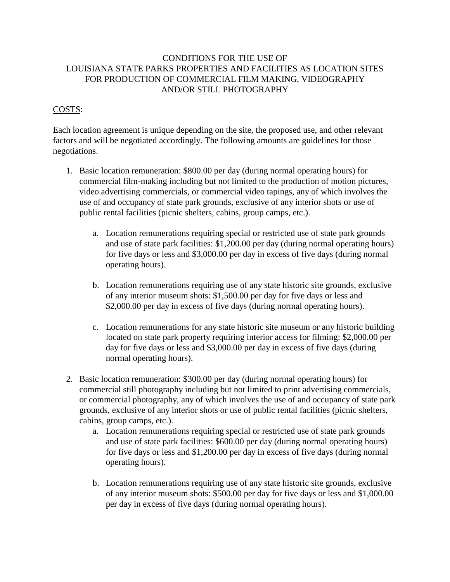## CONDITIONS FOR THE USE OF LOUISIANA STATE PARKS PROPERTIES AND FACILITIES AS LOCATION SITES FOR PRODUCTION OF COMMERCIAL FILM MAKING, VIDEOGRAPHY AND/OR STILL PHOTOGRAPHY

## COSTS:

Each location agreement is unique depending on the site, the proposed use, and other relevant factors and will be negotiated accordingly. The following amounts are guidelines for those negotiations.

- 1. Basic location remuneration: \$800.00 per day (during normal operating hours) for commercial film-making including but not limited to the production of motion pictures, video advertising commercials, or commercial video tapings, any of which involves the use of and occupancy of state park grounds, exclusive of any interior shots or use of public rental facilities (picnic shelters, cabins, group camps, etc.).
	- a. Location remunerations requiring special or restricted use of state park grounds and use of state park facilities: \$1,200.00 per day (during normal operating hours) for five days or less and \$3,000.00 per day in excess of five days (during normal operating hours).
	- b. Location remunerations requiring use of any state historic site grounds, exclusive of any interior museum shots: \$1,500.00 per day for five days or less and \$2,000.00 per day in excess of five days (during normal operating hours).
	- c. Location remunerations for any state historic site museum or any historic building located on state park property requiring interior access for filming: \$2,000.00 per day for five days or less and \$3,000.00 per day in excess of five days (during normal operating hours).
- 2. Basic location remuneration: \$300.00 per day (during normal operating hours) for commercial still photography including but not limited to print advertising commercials, or commercial photography, any of which involves the use of and occupancy of state park grounds, exclusive of any interior shots or use of public rental facilities (picnic shelters, cabins, group camps, etc.).
	- a. Location remunerations requiring special or restricted use of state park grounds and use of state park facilities: \$600.00 per day (during normal operating hours) for five days or less and \$1,200.00 per day in excess of five days (during normal operating hours).
	- b. Location remunerations requiring use of any state historic site grounds, exclusive of any interior museum shots: \$500.00 per day for five days or less and \$1,000.00 per day in excess of five days (during normal operating hours).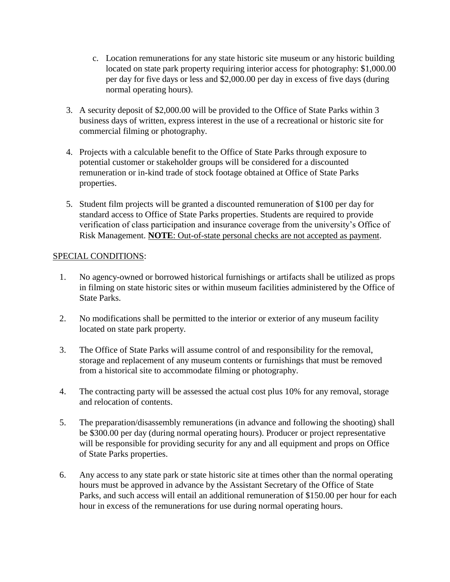- c. Location remunerations for any state historic site museum or any historic building located on state park property requiring interior access for photography: \$1,000.00 per day for five days or less and \$2,000.00 per day in excess of five days (during normal operating hours).
- 3. A security deposit of \$2,000.00 will be provided to the Office of State Parks within 3 business days of written, express interest in the use of a recreational or historic site for commercial filming or photography.
- 4. Projects with a calculable benefit to the Office of State Parks through exposure to potential customer or stakeholder groups will be considered for a discounted remuneration or in-kind trade of stock footage obtained at Office of State Parks properties.
- 5. Student film projects will be granted a discounted remuneration of \$100 per day for standard access to Office of State Parks properties. Students are required to provide verification of class participation and insurance coverage from the university's Office of Risk Management. **NOTE**: Out-of-state personal checks are not accepted as payment.

## SPECIAL CONDITIONS:

- 1. No agency-owned or borrowed historical furnishings or artifacts shall be utilized as props in filming on state historic sites or within museum facilities administered by the Office of State Parks.
- 2. No modifications shall be permitted to the interior or exterior of any museum facility located on state park property.
- 3. The Office of State Parks will assume control of and responsibility for the removal, storage and replacement of any museum contents or furnishings that must be removed from a historical site to accommodate filming or photography.
- 4. The contracting party will be assessed the actual cost plus 10% for any removal, storage and relocation of contents.
- 5. The preparation/disassembly remunerations (in advance and following the shooting) shall be \$300.00 per day (during normal operating hours). Producer or project representative will be responsible for providing security for any and all equipment and props on Office of State Parks properties.
- 6. Any access to any state park or state historic site at times other than the normal operating hours must be approved in advance by the Assistant Secretary of the Office of State Parks, and such access will entail an additional remuneration of \$150.00 per hour for each hour in excess of the remunerations for use during normal operating hours.